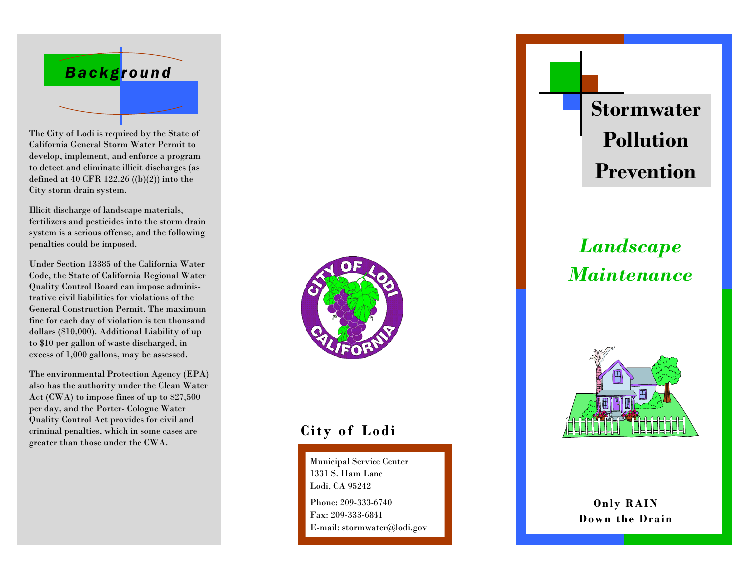

The City of Lodi is required by the State of California General Storm Water Permit to develop, implement, and enforce a program to detect and eliminate illicit discharges (as defined at 40 CFR 122.26 ((b)(2)) into the City storm drain system.

Illicit discharge of landscape materials, fertilizers and pesticides into the storm drain system is a serious offense, and the following penalties could be imposed.

Under Section 13385 of the California Water Code, the State of California Regional Water Quality Control Board can impose administrative civil liabilities for violations of the General Construction Permit. The maximum fine for each day of violation is ten thousand dollars (\$10,000). Additional Liability of up to \$10 per gallon of waste discharged, in excess of 1,000 gallons, may be assessed.

The environmental Protection Agency (EPA) also has the authority under the Clean Water Act (CWA) to impose fines of up to \$27,500 per day, and the Porter- Cologne Water Quality Control Act provides for civil and criminal penalties, which in some cases are greater than those under the CWA.



### **City of Lodi**

Municipal Service Center 1331 S. Ham Lane Lodi, CA 95242 Phone: 209-333-6740 Fax: 209-333-6841 E-mail: stormwater@lodi.gov **Stormwater Pollution Prevention** 

# *Landscape Maintenance*



**Only RAIN Down the Drain**